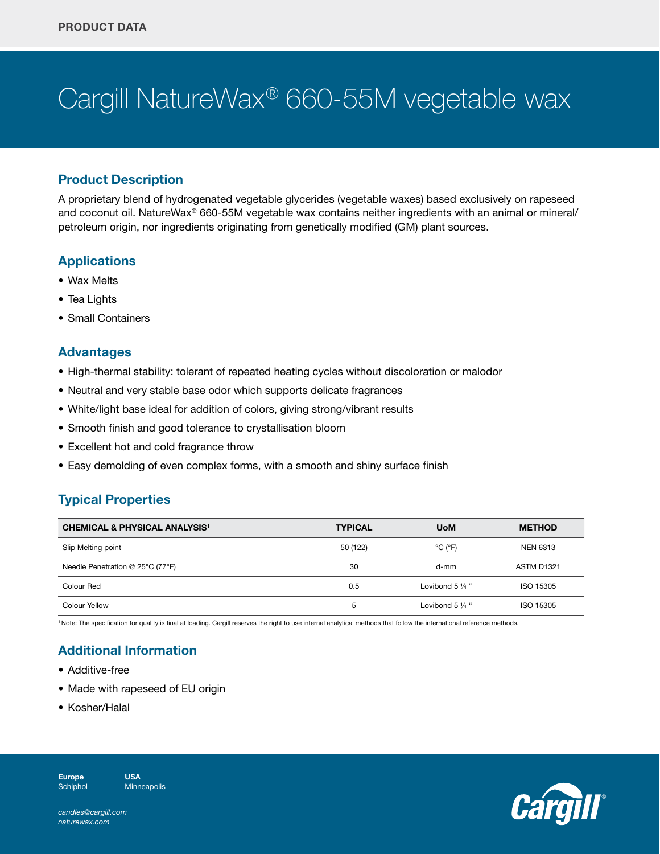# Cargill NatureWax® 660-55M vegetable wax

## Product Description

A proprietary blend of hydrogenated vegetable glycerides (vegetable waxes) based exclusively on rapeseed and coconut oil. NatureWax® 660-55M vegetable wax contains neither ingredients with an animal or mineral/ petroleum origin, nor ingredients originating from genetically modified (GM) plant sources.

# Applications

- Wax Melts
- Tea Lights
- Small Containers

#### Advantages

- High-thermal stability: tolerant of repeated heating cycles without discoloration or malodor
- Neutral and very stable base odor which supports delicate fragrances
- White/light base ideal for addition of colors, giving strong/vibrant results
- Smooth finish and good tolerance to crystallisation bloom
- Excellent hot and cold fragrance throw
- Easy demolding of even complex forms, with a smooth and shiny surface finish

# Typical Properties

| <b>CHEMICAL &amp; PHYSICAL ANALYSIS<sup>1</sup></b> | <b>TYPICAL</b> | <b>UoM</b>                   | <b>METHOD</b>   |
|-----------------------------------------------------|----------------|------------------------------|-----------------|
| Slip Melting point                                  | 50 (122)       | $^{\circ}$ C ( $^{\circ}$ F) | <b>NEN 6313</b> |
| Needle Penetration @ 25°C (77°F)                    | 30             | d-mm                         | ASTM D1321      |
| Colour Red                                          | 0.5            | Lovibond 5 $\frac{1}{4}$ "   | ISO 15305       |
| Colour Yellow                                       | 5              | Lovibond 5 $\frac{1}{4}$ "   | ISO 15305       |

1 Note: The specification for quality is final at loading. Cargill reserves the right to use internal analytical methods that follow the international reference methods.

# Additional Information

- Additive-free
- Made with rapeseed of EU origin
- Kosher/Halal

Europe **Schiphol** 

USA **Minneapolis** 

*[candles@cargill.com](mailto:candles%40cargill.com?subject=) [naturewax.com](http://naturewax.com)*